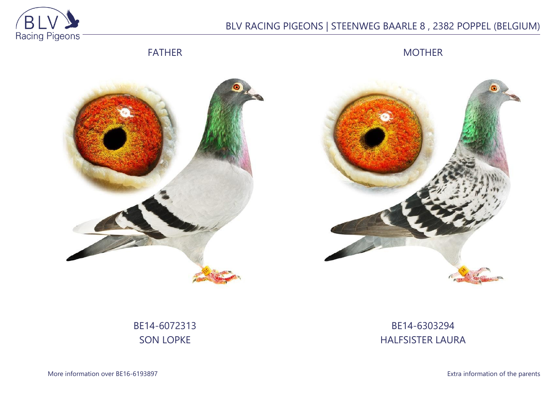

# BLV RACING PIGEONS | STEENWEG BAARLE 8 , 2382 POPPEL (BELGIUM)

FATHER

MOTHER





# BE14-6072313 SON LOPKE

# BE14-6303294 HALFSISTER LAURA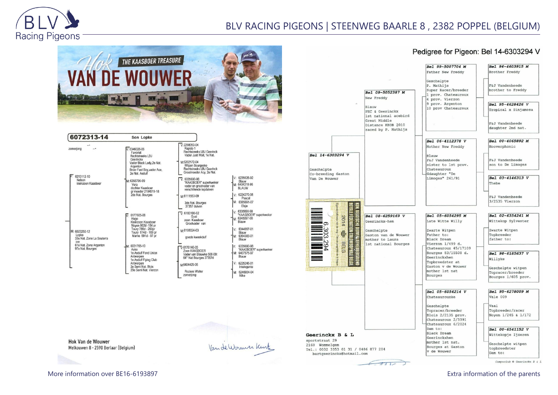

## BLV RACING PIGEONS | STEENWEG BAARLE 8 , 2382 POPPEL (BELGIUM)



| 6072313-14                                                 | Son Lopke                                                                                                                                                                                          |                                                                                                                                                                                                                                                                                        |                                                                                                           |
|------------------------------------------------------------|----------------------------------------------------------------------------------------------------------------------------------------------------------------------------------------------------|----------------------------------------------------------------------------------------------------------------------------------------------------------------------------------------------------------------------------------------------------------------------------------------|-----------------------------------------------------------------------------------------------------------|
| zomerjong<br>6213112-10<br>Nelson<br>kleinzoon Kaashoer    | $V: 6346026-06$<br>Favoriet<br>Rechtstreeks LBJ<br>Geerinckx<br>Vader Black Lady, 2e Nat.<br>Argenton<br>Broer Fast Boy, vader Ace,<br>2e Nat. Asduif<br>M: 6358796-09<br>Vera<br>dochter Kaasboer | $V: 2298053 - 04$<br>Rapido 1<br>Rechtstreeks LBJ Geerinck<br>Vader Just Wait, 1e Nat.<br>M-6202172-04<br>Witpen Bourgeske<br>Rechtstreeks LBJ Geerinck<br>Grootmoeder Acy, 2e Nat.<br>$V: 6335690-98$<br>"KAASBOER" superkweker<br>vader en grootvader van<br>verschillende topduiven | V: 6235626-9<br>Blauw<br>M: 6404318-9<br><b>BLAUW</b>                                                     |
|                                                            | gr moeder 2104519-18<br>2de Nat. Bourges                                                                                                                                                           | M:6111553-09<br>3de Nat. Bourges                                                                                                                                                                                                                                                       | V: 6224270-0<br>Pascal<br>M: 6385691-0<br>Elsie                                                           |
| M: 6023250-12<br>Lopke<br>33e Nat. Zone La Souterra<br>ine | 6177605-08<br>$\overline{V}$<br>Hugo<br>Kleinzoon Kaasboer<br>Noyon 802d -154 pr<br>Toury 786d - 250pr<br>Toury 614d - 169 pr<br>Marne 591d - 97 pr                                                | 37357 duiven<br>$\nabla 6183100-02$<br>Gust<br>zoon Kaasboer<br>Grootvader van<br>M:6108024-03<br>goede kweekduif                                                                                                                                                                      | V: 6335690-98<br>"KAASBOE<br>M: 6345097-00<br>Blauw<br>V: 6344997-0<br>Blauw<br>6364383-0<br>Ħм:<br>Blauw |
| 61e Nat. Zone Argenton<br>97e Nat. Bourges                 | M: 6031765-10<br>Aske<br>1e Asduif Fond Union<br>Antwerpen<br>1e Asduif Flying Club                                                                                                                | $\sqrt{6176146-05}$<br>Zoon KAASBOER<br>Vader van Blauwke 508-09:<br>64° Nat Bourges 37357d                                                                                                                                                                                            | 6335690-9<br>IV:<br>"KAASBOE<br>M: 6407575-9<br>Blauw                                                     |
|                                                            | Antwerpen<br>2e Semi Nat. Blois<br>29e Semi Nat. Vierzon                                                                                                                                           | M6404429-06<br><b>Roziers Walter</b><br>zomerjong                                                                                                                                                                                                                                      | V: 6225246-0<br>Intelegent<br>M: 6246934-0<br>Nike                                                        |

| 6235626-92<br>Blauw<br>6404318-96<br>BLAUW                |
|-----------------------------------------------------------|
| 6224270-08<br>Pascal<br>6385691-07<br>Elsje               |
| 6335690-98<br>"KAASBOER" superkwek<br>6345097-00<br>Blauw |
| 6344997-01<br>Blauw<br>6364383-01<br>Blauw                |
| 6335690-98<br>"KAASBOER" superkwel<br>6407575-97<br>Blauw |
| 6225246-01<br>Intelegente                                 |
| 6246934-04<br>Nike                                        |

#### Bel 99-5007704 M Father New Freddy Geschelpte P. Mathijs Bel 09-5052387 M New Freddy Blauw PEC & Geerinckx 1st national acebird Great Middle Distance KBDB 2010 raced by P. Mathijs Bel 14-6303294 V **R**lauw Chateauroux Geschelpte Co-breeding Gaston Gdaughter "De Van De Wouwer

 $\infty$  $\infty$ 

 $\tilde{\omega}$ 

294

sportstraat 29

2160 Wommelgem

Pedigree for Pigeon: Bel 14-6303294 V

Bel 96-4603915 M



**Hok Van de Wouwer** Melkouwen 8 - 2590 Berlaar (Belgium)

Van de Wormer Kurt

More information over BE16-6193897 Extra information of the parents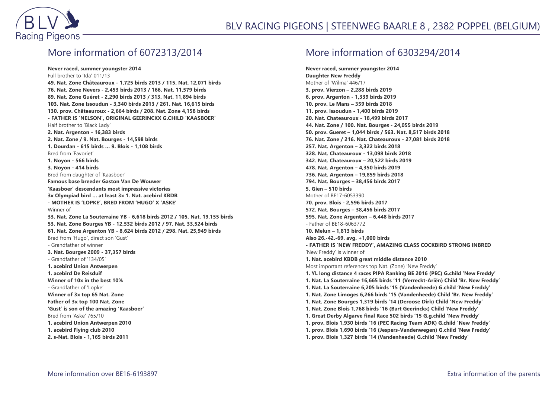

## More information of 6072313/2014

**Never raced, summer youngster 2014** Full brother to 'Ida' 011/13 **49. Nat. Zone Châteauroux - 1,725 birds 2013 / 115. Nat. 12,071 birds 76. Nat. Zone Nevers - 2,453 birds 2013 / 166. Nat. 11,579 birds 89. Nat. Zone Guéret - 2,290 birds 2013 / 313. Nat. 11,894 birds 103. Nat. Zone Issoudun - 3,340 birds 2013 / 261. Nat. 16,615 birds 130. prov. Châteauroux - 2,664 birds / 208. Nat. Zone 4,158 birds - FATHER IS 'NELSON', ORIGINAL GEERINCKX G.CHILD 'KAASBOER'** Half brother to 'Black Lady' **2. Nat. Argenton - 16,383 birds 2. Nat. Zone / 9. Nat. Bourges - 14,598 birds 1. Dourdan - 615 birds … 9. Blois - 1,108 birds** Bred from 'Favoriet' **1. Noyon - 566 birds 3. Noyon - 414 birds** Bred from daughter of 'Kaasboer' **Famous base breeder Gaston Van De Wouwer 'Kaasboer' descendants most impressive victories 3x Olympiad bird … at least 3x 1. Nat. acebird KBDB - MOTHER IS 'LOPKE', BRED FROM 'HUGO' X 'ASKE'** Winner of **33. Nat. Zone La Souterraine YB - 6,618 birds 2012 / 105. Nat. 19,155 birds 53. Nat. Zone Bourges YB - 12,532 birds 2012 / 97. Nat. 33,524 birds 61. Nat. Zone Argenton YB - 8,624 birds 2012 / 298. Nat. 25,949 birds** Bred from 'Hugo', direct son 'Gust' - Grandfather of winner **3. Nat. Bourges 2009 - 37,357 birds** - Grandfather of '134/05' **1. acebird Union Antwerpen 1. acebird De Reisduif Winner of 10x in the best 10%** - Grandfather of 'Lopke' **Winner of 3x top 65 Nat. Zone Father of 3x top 100 Nat. Zone 'Gust' is son of the amazing 'Kaasboer'** Bred from 'Aske' 765/10 **1. acebird Union Antwerpen 2010 1. acebird Flying club 2010 2. s-Nat. Blois - 1,165 birds 2011**

### More information of 6303294/2014

**Never raced, summer youngster 2014 Daughter New Freddy** Mother of 'Wilma' 446/17 **3. prov. Vierzon – 2,288 birds 2019 6. prov. Argenton - 1,339 birds 2019 10. prov. Le Mans – 359 birds 2018 11. prov. Issoudun - 1,400 birds 2019 20. Nat. Chateauroux - 18,499 birds 2017 44. Nat. Zone / 100. Nat. Bourges - 24,055 birds 2019 50. prov. Gueret – 1,044 birds / 563. Nat. 8,517 birds 2018 76. Nat. Zone / 216. Nat. Chateauroux - 27,081 birds 2018 257. Nat. Argenton – 3,322 birds 2018 328. Nat. Chateauroux - 13,098 birds 2018 342. Nat. Chateauroux – 20,522 birds 2019 478. Nat. Argenton – 4,350 birds 2019 736. Nat. Argenton – 19,859 birds 2018 794. Nat. Bourges – 38,456 birds 2017 5. Gien – 510 birds** Mother of BE17-6053390 **70. prov. Blois - 2,596 birds 2017 572. Nat. Bourges – 38,456 birds 2017 595. Nat. Zone Argenton – 6,448 birds 2017** - Father of BE18-6063772 **10. Melun – 1,813 birds Also 26.-42.-69. avg. +1,000 birds - FATHER IS 'NEW FREDDY', AMAZING CLASS COCKBIRD STRONG INBRED** 'New Freddy' is winner of **1. Nat. acebird KBDB great middle distance 2010** Most important references top Nat. (Zone) 'New Freddy' **1. YL long distance 4 races PIPA Ranking BE 2016 (PEC) G.child 'New Freddy' 1. Nat. La Souterraine 16,665 birds '11 (Verreckt-Ariën) Child 'Br. New Freddy' 1. Nat. La Souterraine 6,205 birds '15 (Vandenheede) G.child 'New Freddy' 1. Nat. Zone Limoges 6,266 birds '15 (Vandenheede) Child 'Br. New Freddy' 1. Nat. Zone Bourges 1,319 birds '14 (Deroose Dirk) Child 'New Freddy' 1. Nat. Zone Blois 1,768 birds '16 (Bart Geerinckx) Child 'New Freddy' 1. Great Derby Algarve final Race 502 birds '15 G.g.child 'New Freddy' 1. prov. Blois 1,930 birds '16 (PEC Racing Team ADK) G.child 'New Freddy' 1. prov. Blois 1,690 birds '16 (Jespers-Vandenwegen) G.child 'New Freddy' 1. prov. Blois 1,327 birds '14 (Vandenheede) G.child 'New Freddy'**